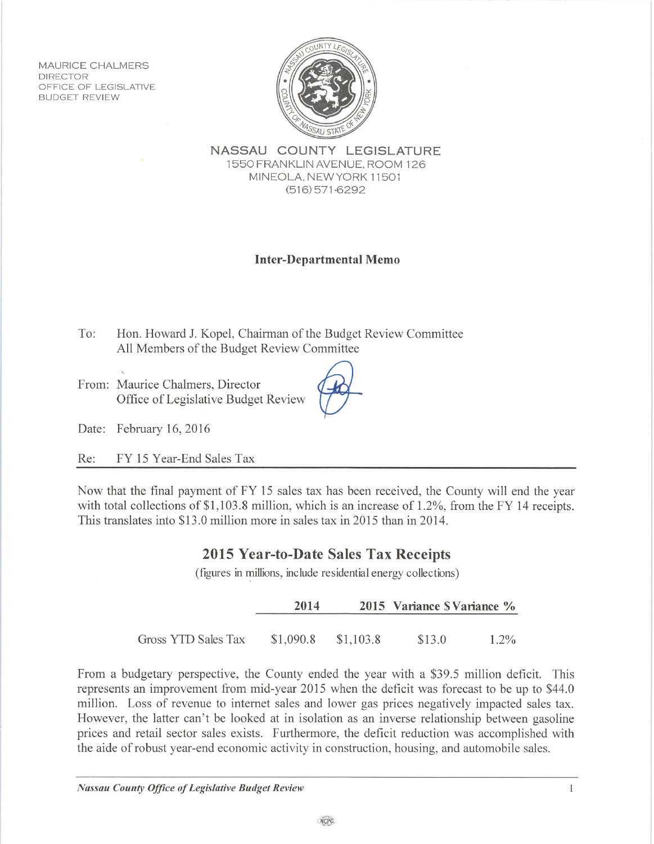**MAURICE CHALMERS DIRECTOR** OFFICE OF LEGISLATIVE **BUDGET REVIEW** 



NASSAU COUNTY LEGISLATURE 1550 FRANKLIN AVENUE, ROOM 126 MINEOLA, NEW YORK 11501  $(516)$  571-6292

## **Inter-Departmental Memo**

To: Hon. Howard J. Kopel, Chairman of the Budget Review Committee All Members of the Budget Review Committee

From: Maurice Chalmers, Director Office of Legislative Budget Review

Date: February 16, 2016

Re: FY 15 Year-End Sales Tax

Now that the final payment of FY 15 sales tax has been received, the County will end the year with total collections of \$1,103.8 million, which is an increase of 1.2%, from the FY 14 receipts. This translates into \$13.0 million more in sales tax in 2015 than in 2014.

## 2015 Year-to-Date Sales Tax Receipts

(figures in millions, include residential energy collections)

|                     | 2014                |  | 2015 Variance S Variance % |         |
|---------------------|---------------------|--|----------------------------|---------|
| Gross YTD Sales Tax | \$1,090.8 \$1,103.8 |  | \$13.0                     | $1.2\%$ |

From a budgetary perspective, the County ended the year with a \$39.5 million deficit. This represents an improvement from mid-year 2015 when the deficit was forecast to be up to \$44.0 million. Loss of revenue to internet sales and lower gas prices negatively impacted sales tax. However, the latter can't be looked at in isolation as an inverse relationship between gasoline prices and retail sector sales exists. Furthermore, the deficit reduction was accomplished with the aide of robust year-end economic activity in construction, housing, and automobile sales.